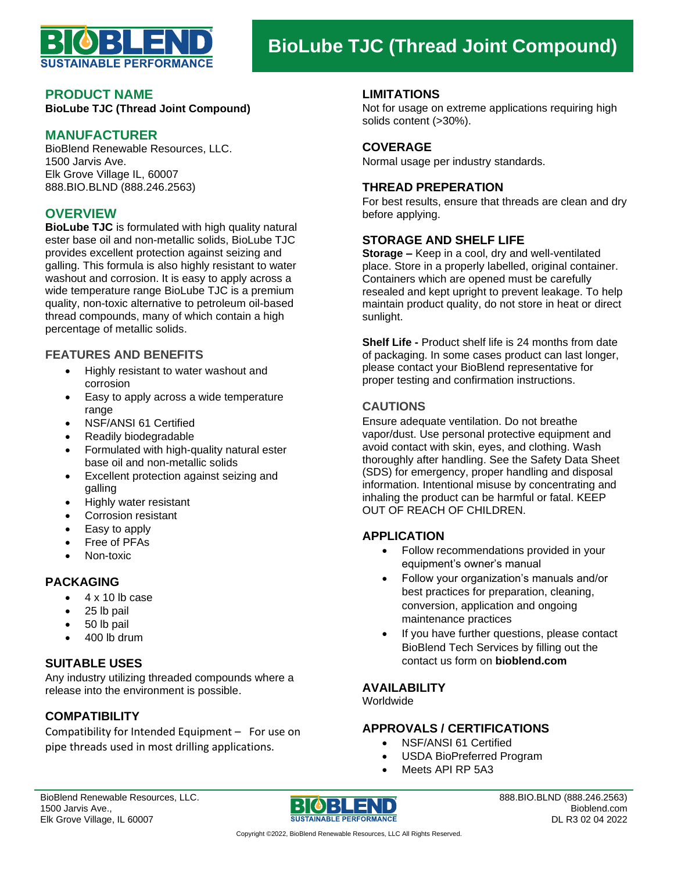

# **BioLube TJC (Thread Joint Compound)**

#### **PRODUCT NAME**

**BioLube TJC (Thread Joint Compound)**

### **MANUFACTURER**

BioBlend Renewable Resources, LLC. 1500 Jarvis Ave. Elk Grove Village IL, 60007 888.BIO.BLND (888.246.2563)

## **OVERVIEW**

**BioLube TJC** is formulated with high quality natural ester base oil and non-metallic solids, BioLube TJC provides excellent protection against seizing and galling. This formula is also highly resistant to water washout and corrosion. It is easy to apply across a wide temperature range BioLube TJC is a premium quality, non-toxic alternative to petroleum oil-based thread compounds, many of which contain a high percentage of metallic solids.

#### **FEATURES AND BENEFITS**

- Highly resistant to water washout and corrosion
- Easy to apply across a wide temperature range
- NSF/ANSI 61 Certified
- Readily biodegradable
- Formulated with high-quality natural ester base oil and non-metallic solids
- Excellent protection against seizing and galling
- Highly water resistant
- Corrosion resistant
- Easy to apply
- Free of PFAs
- Non-toxic

#### **PACKAGING**

- $\bullet$  4 x 10 lb case
- 25 lb pail
- 50 lb pail
- 400 lb drum

### **SUITABLE USES**

Any industry utilizing threaded compounds where a release into the environment is possible.

# **COMPATIBILITY**

Compatibility for Intended Equipment – For use on pipe threads used in most drilling applications.

#### **LIMITATIONS**

Not for usage on extreme applications requiring high solids content (>30%).

### **COVERAGE**

Normal usage per industry standards.

#### **THREAD PREPERATION**

For best results, ensure that threads are clean and dry before applying.

#### **STORAGE AND SHELF LIFE**

**Storage –** Keep in a cool, dry and well-ventilated place. Store in a properly labelled, original container. Containers which are opened must be carefully resealed and kept upright to prevent leakage. To help maintain product quality, do not store in heat or direct sunlight.

**Shelf Life -** Product shelf life is 24 months from date of packaging. In some cases product can last longer, please contact your BioBlend representative for proper testing and confirmation instructions.

## **CAUTIONS**

Ensure adequate ventilation. Do not breathe vapor/dust. Use personal protective equipment and avoid contact with skin, eyes, and clothing. Wash thoroughly after handling. See the Safety Data Sheet (SDS) for emergency, proper handling and disposal information. Intentional misuse by concentrating and inhaling the product can be harmful or fatal. KEEP OUT OF REACH OF CHILDREN.

# **APPLICATION**

- Follow recommendations provided in your equipment's owner's manual
- Follow your organization's manuals and/or best practices for preparation, cleaning, conversion, application and ongoing maintenance practices
- If you have further questions, please contact BioBlend Tech Services by filling out the contact us form on **bioblend.com**

#### **AVAILABILITY**

Worldwide

#### **APPROVALS / CERTIFICATIONS**

- NSF/ANSI 61 Certified
- USDA BioPreferred Program
- Meets API RP 5A3